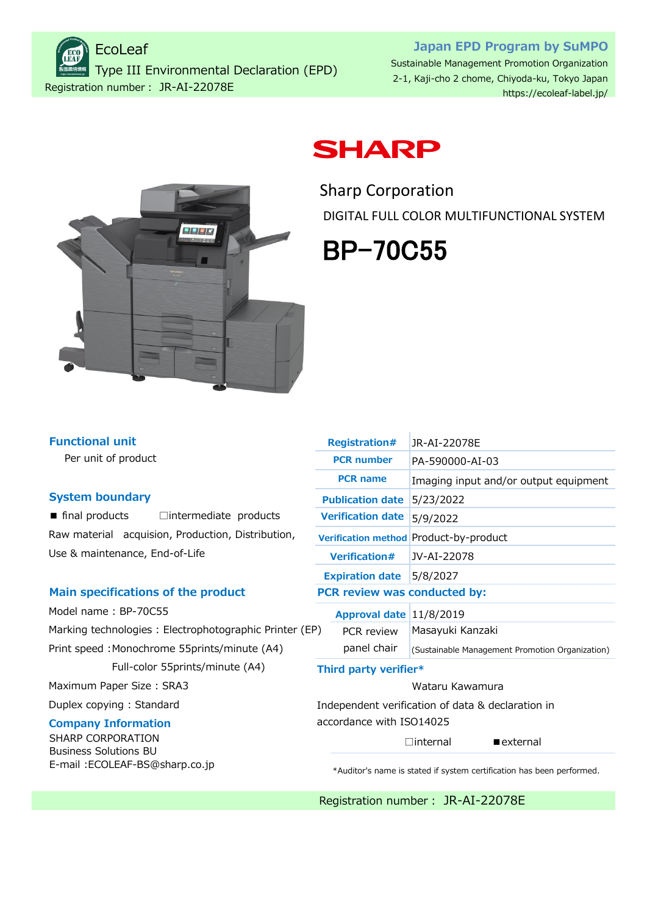Registration number: JR-AI-22078E EcoLeaf Type III Environmental Declaration (EPD)

## **Japan EPD Program by SuMPO** Sustainable Management Promotion Organization 2-1, Kaji-cho 2 chome, Chiyoda-ku, Tokyo Japan

<https://ecoleaf-label.jp/>



## **SHARP**

Sharp Corporation DIGITAL FULL COLOR MULTIFUNCTIONAL SYSTEM

# BP-70C55

| <b>Functional unit</b> |  |
|------------------------|--|
|                        |  |

Per unit of product

#### **System boundary**

■ final products □intermediate products Raw material acquision, Production, Distribution, Use & maintenance, End-of-Life

#### **Main specifications of the product**

Model name : BP-70C55 Marking technologies : Electrophotographic Printer (E Print speed : Monochrome 55prints/minute (A4) Full-color 55prints/minute (A4)

Maximum Paper Size : SRA3

Duplex copying : Standard

## **Company Information**

SHARP CORPORATION Business Solutions BU [E-mail :ECOLEAF-BS@sharp.co.jp](Mailto:ECOLEAF-BS@sharp.co.jp)

|    | <b>Registration#</b>            | JR-AI-22078E                                      |  |  |  |  |  |
|----|---------------------------------|---------------------------------------------------|--|--|--|--|--|
|    | <b>PCR number</b>               | PA-590000-AI-03                                   |  |  |  |  |  |
|    | <b>PCR name</b>                 | Imaging input and/or output equipment             |  |  |  |  |  |
|    | <b>Publication date</b>         | 5/23/2022                                         |  |  |  |  |  |
|    | <b>Verification date</b>        | 5/9/2022                                          |  |  |  |  |  |
|    |                                 | Verification method Product-by-product            |  |  |  |  |  |
|    | <b>Verification#</b>            | JV-AI-22078                                       |  |  |  |  |  |
|    | <b>Expiration date</b> 5/8/2027 |                                                   |  |  |  |  |  |
|    | PCR review was conducted by:    |                                                   |  |  |  |  |  |
|    | Approval date 11/8/2019         |                                                   |  |  |  |  |  |
| P) | PCR review                      | Masayuki Kanzaki                                  |  |  |  |  |  |
|    | panel chair                     | (Sustainable Management Promotion Organization)   |  |  |  |  |  |
|    | Third party verifier*           |                                                   |  |  |  |  |  |
|    | Wataru Kawamura                 |                                                   |  |  |  |  |  |
|    |                                 | Independent verification of data & declaration in |  |  |  |  |  |

Independent verification of data & declaration in accordance with ISO14025

 $\Box$ internal **External** 

\*Auditor's name is stated if system certification has been performed.

Registration number: JR-AI-22078E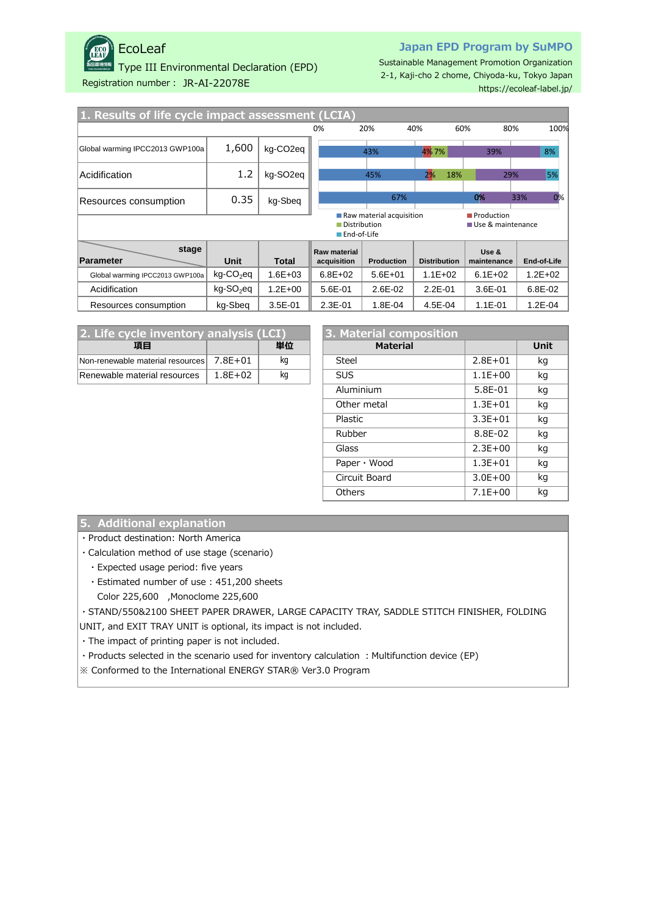

## EcoLeaf

Type III Environmental Declaration (EPD)

#### **Japan EPD Program by SuMPO**

Sustainable Management Promotion Organization 2-1, Kaji-cho 2 chome, Chiyoda-ku, Tokyo Japan <https://ecoleaf-label.jp/>

Registration number: JR-AI-22078E

| 1. Results of life cycle impact assessment (LCIA)                                                  |                       |                       |                             |                   |                     |                      |             |  |
|----------------------------------------------------------------------------------------------------|-----------------------|-----------------------|-----------------------------|-------------------|---------------------|----------------------|-------------|--|
|                                                                                                    |                       |                       | 0%                          | 20%               | 40%                 | 60%<br>80%           | 100%        |  |
| Global warming IPCC2013 GWP100a                                                                    | 1,600                 | kg-CO2eq              |                             | 43%               | 4%7%                | 39%                  | 8%          |  |
| Acidification                                                                                      | 1.2                   | kg-SO <sub>2</sub> eg |                             | 45%               | 2%<br>18%           | 29%                  | 5%          |  |
| Resources consumption                                                                              | 0.35                  | kg-Sbeg               |                             | 67%               |                     | 0%                   | 0%<br>33%   |  |
| Raw material acquisition<br>Production<br>Use & maintenance<br>Distribution<br><b>■End-of-Life</b> |                       |                       |                             |                   |                     |                      |             |  |
| stage<br>Parameter                                                                                 | Unit                  | <b>Total</b>          | Raw material<br>acquisition | <b>Production</b> | <b>Distribution</b> | Use &<br>maintenance | End-of-Life |  |
| Global warming IPCC2013 GWP100a                                                                    | kg-CO <sub>2</sub> eq | $1.6E + 03$           | $6.8E + 02$                 | $5.6E + 01$       | $1.1E + 02$         | $6.1E + 02$          | $1.2E + 02$ |  |
| Acidification                                                                                      | kg-SO <sub>2</sub> eq | $1.2E + 00$           | 5.6E-01                     | 2.6E-02           | $2.2E - 01$         | 3.6E-01              | 6.8E-02     |  |
| Resources consumption                                                                              | kg-Sbeg               | $3.5E-01$             | $2.3E - 01$                 | 1.8E-04           | 4.5E-04             | $1.1E - 01$          | $1.2E - 04$ |  |

| 2. Life cycle inventory analysis (LCI) |             |    | 3. Material composition |             |     |  |
|----------------------------------------|-------------|----|-------------------------|-------------|-----|--|
| 頂目                                     |             | 単位 | <b>Material</b>         |             | Uni |  |
| Non-renewable material resources       | 7.8F+01     | ka | Steel                   | $2.8E + 01$ | kg  |  |
| Renewable material resources           | $1.8E + 02$ | ka | <b>SUS</b>              | $1.1E + 00$ | kg  |  |

| cle inventory analysis (LCI) |             |    |  | 3. Material composition |             |             |
|------------------------------|-------------|----|--|-------------------------|-------------|-------------|
| 項目                           |             | 単位 |  | <b>Material</b>         |             | <b>Unit</b> |
| material resources           | $7.8E + 01$ | kg |  | Steel                   | $2.8E + 01$ | kg          |
| aterial resources            | $1.8E + 02$ | kg |  | <b>SUS</b>              | $1.1E + 00$ | kg          |
|                              |             |    |  | Aluminium               | 5.8E-01     | kg          |
|                              |             |    |  | Other metal             | $1.3E + 01$ | kg          |
|                              |             |    |  | Plastic                 | $3.3E + 01$ | kg          |
|                              |             |    |  | Rubber                  | 8.8E-02     | kg          |
|                              |             |    |  | Glass                   | $2.3E + 00$ | kg          |
|                              |             |    |  | Paper $\cdot$ Wood      | $1.3E + 01$ | kg          |
|                              |             |    |  | Circuit Board           | $3.0E + 00$ | kg          |
|                              |             |    |  | <b>Others</b>           | $7.1E+00$   | kg          |
|                              |             |    |  |                         |             |             |

#### **5. Additional explanation**

・Product destination: North America

・Calculation method of use stage (scenario)

- ・Expected usage period: five years
- ・Estimated number of use : 451,200 sheets
- Color 225,600 ,Monoclome 225,600

・STAND/550&2100 SHEET PAPER DRAWER, LARGE CAPACITY TRAY, SADDLE STITCH FINISHER, FOLDING

UNIT, and EXIT TRAY UNIT is optional, its impact is not included.

・The impact of printing paper is not included.

• Products selected in the scenario used for inventory calculation : Multifunction device (EP)

※ Conformed to the International ENERGY STAR® Ver3.0 Program